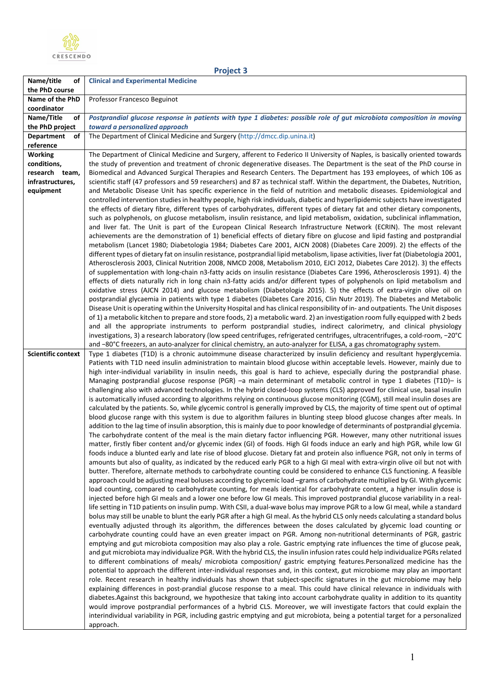

| roiec |  |
|-------|--|
|       |  |

| Name/title<br>οt                  | <b>Clinical and Experimental Medicine</b>                                                                                                                                                                                                                 |
|-----------------------------------|-----------------------------------------------------------------------------------------------------------------------------------------------------------------------------------------------------------------------------------------------------------|
| the PhD course<br>Name of the PhD |                                                                                                                                                                                                                                                           |
| coordinator                       | Professor Francesco Beguinot                                                                                                                                                                                                                              |
| Name/Title<br>of                  | Postprandial glucose response in patients with type 1 diabetes: possible role of gut microbiota composition in moving                                                                                                                                     |
| the PhD project                   | toward a personalized approach                                                                                                                                                                                                                            |
| <b>Department</b><br>оf           | The Department of Clinical Medicine and Surgery (http://dmcc.dip.unina.it)                                                                                                                                                                                |
| reference                         |                                                                                                                                                                                                                                                           |
| <b>Working</b>                    | The Department of Clinical Medicine and Surgery, afferent to Federico II University of Naples, is basically oriented towards                                                                                                                              |
| conditions,<br>research team,     | the study of prevention and treatment of chronic degenerative diseases. The Department is the seat of the PhD course in<br>Biomedical and Advanced Surgical Therapies and Research Centers. The Department has 193 employees, of which 106 as             |
| infrastructures,                  | scientific staff (47 professors and 59 researchers) and 87 as technical staff. Within the department, the Diabetes, Nutrition,                                                                                                                            |
| equipment                         | and Metabolic Disease Unit has specific experience in the field of nutrition and metabolic diseases. Epidemiological and                                                                                                                                  |
|                                   | controlled intervention studies in healthy people, high risk individuals, diabetic and hyperlipidemic subjects have investigated                                                                                                                          |
|                                   | the effects of dietary fibre, different types of carbohydrates, different types of dietary fat and other dietary components,                                                                                                                              |
|                                   | such as polyphenols, on glucose metabolism, insulin resistance, and lipid metabolism, oxidation, subclinical inflammation,<br>and liver fat. The Unit is part of the European Clinical Research Infrastructure Network (ECRIN). The most relevant         |
|                                   | achievements are the demonstration of 1) beneficial effects of dietary fibre on glucose and lipid fasting and postprandial                                                                                                                                |
|                                   | metabolism (Lancet 1980; Diabetologia 1984; Diabetes Care 2001, AJCN 2008) (Diabetes Care 2009). 2) the effects of the                                                                                                                                    |
|                                   | different types of dietary fat on insulin resistance, postprandial lipid metabolism, lipase activities, liver fat (Diabetologia 2001,                                                                                                                     |
|                                   | Atherosclerosis 2003, Clinical Nutrition 2008, NMCD 2008, Metabolism 2010, EJCI 2012, Diabetes Care 2012). 3) the effects                                                                                                                                 |
|                                   | of supplementation with long-chain n3-fatty acids on insulin resistance (Diabetes Care 1996, Atherosclerosis 1991). 4) the<br>effects of diets naturally rich in long chain n3-fatty acids and/or different types of polyphenols on lipid metabolism and  |
|                                   | oxidative stress (AJCN 2014) and glucose metabolism (Diabetologia 2015). 5) the effects of extra-virgin olive oil on                                                                                                                                      |
|                                   | postprandial glycaemia in patients with type 1 diabetes (Diabetes Care 2016, Clin Nutr 2019). The Diabetes and Metabolic                                                                                                                                  |
|                                   | Disease Unit is operating within the University Hospital and has clinical responsibility of in- and outpatients. The Unit disposes                                                                                                                        |
|                                   | of 1) a metabolic kitchen to prepare and store foods, 2) a metabolic ward. 2) an investigation room fully equipped with 2 beds                                                                                                                            |
|                                   | and all the appropriate instruments to perform postprandial studies, indirect calorimetry, and clinical physiology<br>investigations, 3) a research laboratory (low speed centrifuges, refrigerated centrifuges, ultracentrifuges, a cold-room, -20°C     |
|                                   | and -80°C freezers, an auto-analyzer for clinical chemistry, an auto-analyzer for ELISA, a gas chromatography system.                                                                                                                                     |
| <b>Scientific context</b>         | Type 1 diabetes (T1D) is a chronic autoimmune disease characterized by insulin deficiency and resultant hyperglycemia.                                                                                                                                    |
|                                   | Patients with T1D need insulin administration to maintain blood glucose within acceptable levels. However, mainly due to                                                                                                                                  |
|                                   | high inter-individual variability in insulin needs, this goal is hard to achieve, especially during the postprandial phase.                                                                                                                               |
|                                   | Managing postprandial glucose response (PGR) -a main determinant of metabolic control in type 1 diabetes (T1D)- is<br>challenging also with advanced technologies. In the hybrid closed-loop systems (CLS) approved for clinical use, basal insulin       |
|                                   | is automatically infused according to algorithms relying on continuous glucose monitoring (CGM), still meal insulin doses are                                                                                                                             |
|                                   | calculated by the patients. So, while glycemic control is generally improved by CLS, the majority of time spent out of optimal                                                                                                                            |
|                                   | blood glucose range with this system is due to algorithm failures in blunting steep blood glucose changes after meals. In                                                                                                                                 |
|                                   | addition to the lag time of insulin absorption, this is mainly due to poor knowledge of determinants of postprandial glycemia.                                                                                                                            |
|                                   | The carbohydrate content of the meal is the main dietary factor influencing PGR. However, many other nutritional issues<br>matter, firstly fiber content and/or glycemic index (GI) of foods. High GI foods induce an early and high PGR, while low GI    |
|                                   | foods induce a blunted early and late rise of blood glucose. Dietary fat and protein also influence PGR, not only in terms of                                                                                                                             |
|                                   | amounts but also of quality, as indicated by the reduced early PGR to a high GI meal with extra-virgin olive oil but not with                                                                                                                             |
|                                   | butter. Therefore, alternate methods to carbohydrate counting could be considered to enhance CLS functioning. A feasible                                                                                                                                  |
|                                   | approach could be adjusting meal boluses according to glycemic load -grams of carbohydrate multiplied by GI. With glycemic                                                                                                                                |
|                                   | load counting, compared to carbohydrate counting, for meals identical for carbohydrate content, a higher insulin dose is<br>injected before high GI meals and a lower one before low GI meals. This improved postprandial glucose variability in a real-  |
|                                   | life setting in T1D patients on insulin pump. With CSII, a dual-wave bolus may improve PGR to a low GI meal, while a standard                                                                                                                             |
|                                   | bolus may still be unable to blunt the early PGR after a high GI meal. As the hybrid CLS only needs calculating a standard bolus                                                                                                                          |
|                                   | eventually adjusted through its algorithm, the differences between the doses calculated by glycemic load counting or                                                                                                                                      |
|                                   | carbohydrate counting could have an even greater impact on PGR. Among non-nutritional determinants of PGR, gastric<br>emptying and gut microbiota composition may also play a role. Gastric emptying rate influences the time of glucose peak,            |
|                                   | and gut microbiota may individualize PGR. With the hybrid CLS, the insulin infusion rates could help individualize PGRs related                                                                                                                           |
|                                   | to different combinations of meals/ microbiota composition/ gastric emptying features. Personalized medicine has the                                                                                                                                      |
|                                   | potential to approach the different inter-individual responses and, in this context, gut microbiome may play an important                                                                                                                                 |
|                                   | role. Recent research in healthy individuals has shown that subject-specific signatures in the gut microbiome may help                                                                                                                                    |
|                                   | explaining differences in post-prandial glucose response to a meal. This could have clinical relevance in individuals with<br>diabetes. Against this background, we hypothesize that taking into account carbohydrate quality in addition to its quantity |
|                                   | would improve postprandial performances of a hybrid CLS. Moreover, we will investigate factors that could explain the                                                                                                                                     |
|                                   | interindividual variability in PGR, including gastric emptying and gut microbiota, being a potential target for a personalized                                                                                                                            |
|                                   | approach.                                                                                                                                                                                                                                                 |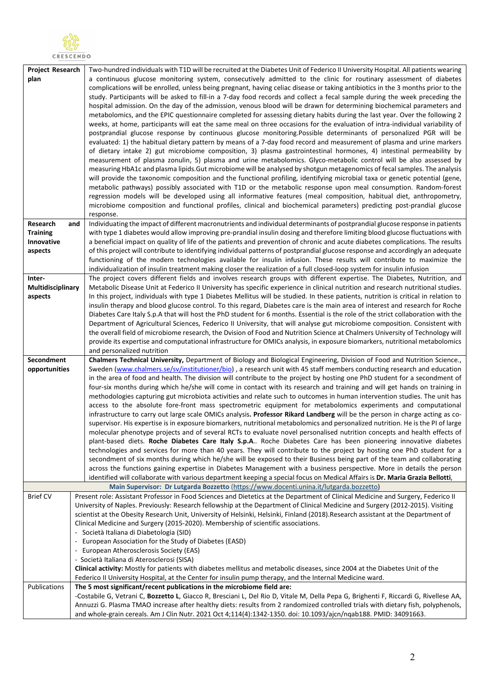

| <b>Project Research</b> | Two-hundred individuals with T1D will be recruited at the Diabetes Unit of Federico II University Hospital. All patients wearing                                                                                                                                |
|-------------------------|-----------------------------------------------------------------------------------------------------------------------------------------------------------------------------------------------------------------------------------------------------------------|
| plan                    | a continuous glucose monitoring system, consecutively admitted to the clinic for routinary assessment of diabetes                                                                                                                                               |
|                         | complications will be enrolled, unless being pregnant, having celiac disease or taking antibiotics in the 3 months prior to the                                                                                                                                 |
|                         | study. Participants will be asked to fill-in a 7-day food records and collect a fecal sample during the week preceding the                                                                                                                                      |
|                         | hospital admission. On the day of the admission, venous blood will be drawn for determining biochemical parameters and                                                                                                                                          |
|                         | metabolomics, and the EPIC questionnaire completed for assessing dietary habits during the last year. Over the following 2                                                                                                                                      |
|                         | weeks, at home, participants will eat the same meal on three occasions for the evaluation of intra-individual variability of                                                                                                                                    |
|                         | postprandial glucose response by continuous glucose monitoring.Possible determinants of personalized PGR will be                                                                                                                                                |
|                         | evaluated: 1) the habitual dietary pattern by means of a 7-day food record and measurement of plasma and urine markers                                                                                                                                          |
|                         | of dietary intake 2) gut microbiome composition, 3) plasma gastrointestinal hormones, 4) intestinal permeability by                                                                                                                                             |
|                         | measurement of plasma zonulin, 5) plasma and urine metabolomics. Glyco-metabolic control will be also assessed by                                                                                                                                               |
|                         | measuring HbA1c and plasma lipids. Gut microbiome will be analysed by shotgun metagenomics of fecal samples. The analysis<br>will provide the taxonomic composition and the functional profiling, identifying microbial taxa or genetic potential (gene,        |
|                         | metabolic pathways) possibly associated with T1D or the metabolic response upon meal consumption. Random-forest                                                                                                                                                 |
|                         | regression models will be developed using all informative features (meal composition, habitual diet, anthropometry,                                                                                                                                             |
|                         | microbiome composition and functional profiles, clinical and biochemical parameters) predicting post-prandial glucose                                                                                                                                           |
|                         | response.                                                                                                                                                                                                                                                       |
| Research                | Individuating the impact of different macronutrients and individual determinants of postprandial glucose response in patients<br>and                                                                                                                            |
| <b>Training</b>         | with type 1 diabetes would allow improving pre-prandial insulin dosing and therefore limiting blood glucose fluctuations with                                                                                                                                   |
| Innovative              | a beneficial impact on quality of life of the patients and prevention of chronic and acute diabetes complications. The results                                                                                                                                  |
| aspects                 | of this project will contribute to identifying individual patterns of postprandial glucose response and accordingly an adequate                                                                                                                                 |
|                         | functioning of the modern technologies available for insulin infusion. These results will contribute to maximize the                                                                                                                                            |
|                         | individualization of insulin treatment making closer the realization of a full closed-loop system for insulin infusion                                                                                                                                          |
| Inter-                  | The project covers different fields and involves research groups with different expertise. The Diabetes, Nutrition, and                                                                                                                                         |
| Multidisciplinary       | Metabolic Disease Unit at Federico II University has specific experience in clinical nutrition and research nutritional studies.                                                                                                                                |
| aspects                 | In this project, individuals with type 1 Diabetes Mellitus will be studied. In these patients, nutrition is critical in relation to                                                                                                                             |
|                         | insulin therapy and blood glucose control. To this regard, Diabetes care is the main area of interest and research for Roche                                                                                                                                    |
|                         | Diabetes Care Italy S.p.A that will host the PhD student for 6 months. Essential is the role of the strict collaboration with the<br>Department of Agricultural Sciences, Federico II University, that will analyse gut microbiome composition. Consistent with |
|                         | the overall field of microbiome research, the Dvision of Food and Nutrition Science at Chalmers University of Technology will                                                                                                                                   |
|                         | provide its expertise and computational infrastructure for OMICs analysis, in exposure biomarkers, nutritional metabolomics                                                                                                                                     |
|                         | and personalized nutrition                                                                                                                                                                                                                                      |
|                         |                                                                                                                                                                                                                                                                 |
| Secondment              | Chalmers Technical University, Department of Biology and Biological Engineering, Division of Food and Nutrition Science.,                                                                                                                                       |
| opportunities           | Sweden (www.chalmers.se/sv/institutioner/bio), a research unit with 45 staff members conducting research and education                                                                                                                                          |
|                         | in the area of food and health. The division will contribute to the project by hosting one PhD student for a secondment of                                                                                                                                      |
|                         | four-six months during which he/she will come in contact with its research and training and will get hands on training in                                                                                                                                       |
|                         | methodologies capturing gut microbiota activities and relate such to outcomes in human intervention studies. The unit has                                                                                                                                       |
|                         | access to the absolute fore-front mass spectrometric equipment for metabolomics experiments and computational                                                                                                                                                   |
|                         | infrastructure to carry out large scale OMICs analysis. Professor Rikard Landberg will be the person in charge acting as co-                                                                                                                                    |
|                         | supervisor. His expertise is in exposure biomarkers, nutritional metabolomics and personalized nutrition. He is the PI of large                                                                                                                                 |
|                         | molecular phenotype projects and of several RCTs to evaluate novel personalised nutrition concepts and health effects of                                                                                                                                        |
|                         | plant-based diets. Roche Diabetes Care Italy S.p.A Roche Diabetes Care has been pioneering innovative diabetes                                                                                                                                                  |
|                         | technologies and services for more than 40 years. They will contribute to the project by hosting one PhD student for a<br>secondment of six months during which he/she will be exposed to their Business being part of the team and collaborating               |
|                         | across the functions gaining expertise in Diabetes Management with a business perspective. More in details the person                                                                                                                                           |
|                         | identified will collaborate with various department keeping a special focus on Medical Affairs is Dr. Maria Grazia Bellotti,                                                                                                                                    |
|                         | Main Supervisor: Dr Lutgarda Bozzetto (https://www.docenti.unina.it/lutgarda.bozzetto)                                                                                                                                                                          |
| <b>Brief CV</b>         | Present role: Assistant Professor in Food Sciences and Dietetics at the Department of Clinical Medicine and Surgery, Federico II                                                                                                                                |
|                         | University of Naples. Previously: Research fellowship at the Department of Clinical Medicine and Surgery (2012-2015). Visiting                                                                                                                                  |
|                         | scientist at the Obesity Research Unit, University of Helsinki, Helsinki, Finland (2018).Research assistant at the Department of                                                                                                                                |
|                         | Clinical Medicine and Surgery (2015-2020). Membership of scientific associations.                                                                                                                                                                               |
|                         | - Società Italiana di Diabetologia (SID)                                                                                                                                                                                                                        |
|                         | - European Association for the Study of Diabetes (EASD)                                                                                                                                                                                                         |
|                         | - European Atherosclerosis Society (EAS)                                                                                                                                                                                                                        |
|                         | - Società Italiana di Aterosclerosi (SISA)                                                                                                                                                                                                                      |
|                         | Clinical activity: Mostly for patients with diabetes mellitus and metabolic diseases, since 2004 at the Diabetes Unit of the<br>Federico II University Hospital, at the Center for insulin pump therapy, and the Internal Medicine ward.                        |
| Publications            | The 5 most significant/recent publications in the microbiome field are:                                                                                                                                                                                         |
|                         | -Costabile G, Vetrani C, Bozzetto L, Giacco R, Bresciani L, Del Rio D, Vitale M, Della Pepa G, Brighenti F, Riccardi G, Rivellese AA,                                                                                                                           |
|                         | Annuzzi G. Plasma TMAO increase after healthy diets: results from 2 randomized controlled trials with dietary fish, polyphenols,<br>and whole-grain cereals. Am J Clin Nutr. 2021 Oct 4;114(4):1342-1350. doi: 10.1093/ajcn/nqab188. PMID: 34091663.            |